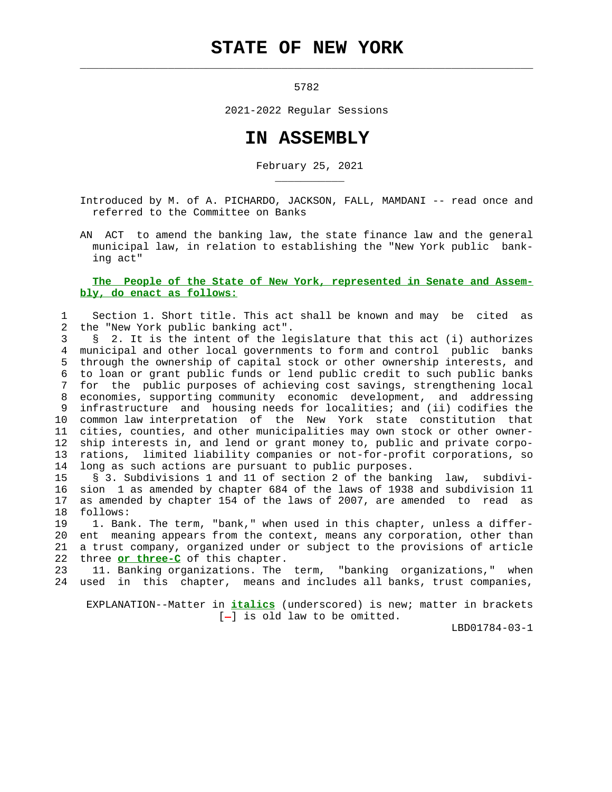## **STATE OF NEW YORK**

 $\mathcal{L}_\text{max} = \frac{1}{2} \sum_{i=1}^{n} \frac{1}{2} \sum_{i=1}^{n} \frac{1}{2} \sum_{i=1}^{n} \frac{1}{2} \sum_{i=1}^{n} \frac{1}{2} \sum_{i=1}^{n} \frac{1}{2} \sum_{i=1}^{n} \frac{1}{2} \sum_{i=1}^{n} \frac{1}{2} \sum_{i=1}^{n} \frac{1}{2} \sum_{i=1}^{n} \frac{1}{2} \sum_{i=1}^{n} \frac{1}{2} \sum_{i=1}^{n} \frac{1}{2} \sum_{i=1}^{n} \frac{1$ 

\_\_\_\_\_\_\_\_\_\_\_

5782

2021-2022 Regular Sessions

## **IN ASSEMBLY**

February 25, 2021

 Introduced by M. of A. PICHARDO, JACKSON, FALL, MAMDANI -- read once and referred to the Committee on Banks

 AN ACT to amend the banking law, the state finance law and the general municipal law, in relation to establishing the "New York public bank ing act"

 **The People of the State of New York, represented in Senate and Assem bly, do enact as follows:**

 1 Section 1. Short title. This act shall be known and may be cited as 2 the "New York public banking act".

 3 § 2. It is the intent of the legislature that this act (i) authorizes 4 municipal and other local governments to form and control public banks 5 through the ownership of capital stock or other ownership interests, and 6 to loan or grant public funds or lend public credit to such public banks 7 for the public purposes of achieving cost savings, strengthening local 8 economies, supporting community economic development, and addressing 9 infrastructure and housing needs for localities; and (ii) codifies the 10 common law interpretation of the New York state constitution that 11 cities, counties, and other municipalities may own stock or other owner- 12 ship interests in, and lend or grant money to, public and private corpo- 13 rations, limited liability companies or not-for-profit corporations, so 14 long as such actions are pursuant to public purposes.

 15 § 3. Subdivisions 1 and 11 of section 2 of the banking law, subdivi- 16 sion 1 as amended by chapter 684 of the laws of 1938 and subdivision 11 17 as amended by chapter 154 of the laws of 2007, are amended to read as 18 follows:

 19 1. Bank. The term, "bank," when used in this chapter, unless a differ- 20 ent meaning appears from the context, means any corporation, other than 21 a trust company, organized under or subject to the provisions of article 22 three **or three-C** of this chapter.

 23 11. Banking organizations. The term, "banking organizations," when 24 used in this chapter, means and includes all banks, trust companies,

 EXPLANATION--Matter in **italics** (underscored) is new; matter in brackets  $[-]$  is old law to be omitted.

LBD01784-03-1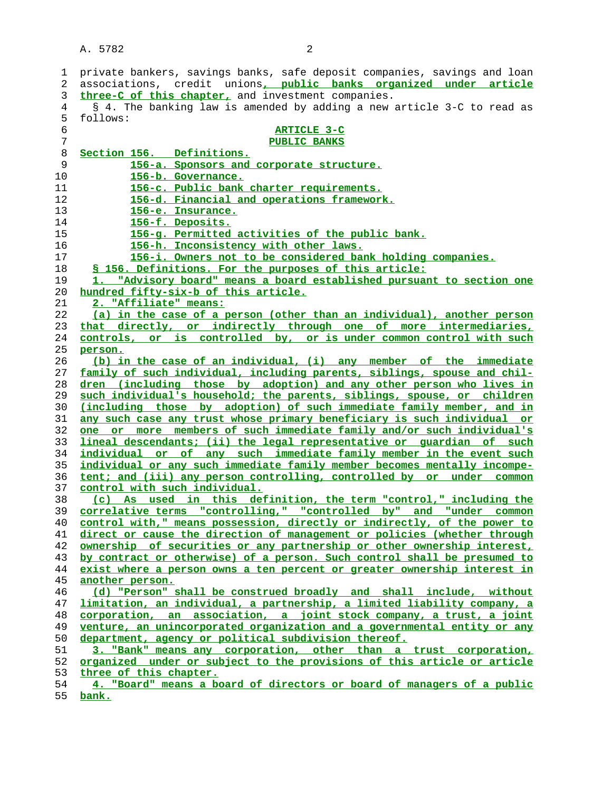1 private bankers, savings banks, safe deposit companies, savings and loan 2 associations, credit unions**, public banks organized under article three-C of this chapter,** and investment companies. 4 § 4. The banking law is amended by adding a new article 3-C to read as 5 follows: **ARTICLE 3-C PUBLIC BANKS Section 156. Definitions. 156-a. Sponsors and corporate structure. 156-b. Governance. 156-c. Public bank charter requirements. 156-d. Financial and operations framework. 156-e. Insurance. 156-f. Deposits. 156-g. Permitted activities of the public bank. 156-h. Inconsistency with other laws. 156-i. Owners not to be considered bank holding companies. § 156. Definitions. For the purposes of this article: 1. "Advisory board" means a board established pursuant to section one hundred fifty-six-b of this article. 2. "Affiliate" means: (a) in the case of a person (other than an individual), another person that directly, or indirectly through one of more intermediaries, controls, or is controlled by, or is under common control with such person. (b) in the case of an individual, (i) any member of the immediate family of such individual, including parents, siblings, spouse and chil- dren (including those by adoption) and any other person who lives in such individual's household; the parents, siblings, spouse, or children (including those by adoption) of such immediate family member, and in any such case any trust whose primary beneficiary is such individual or one or more members of such immediate family and/or such individual's lineal descendants; (ii) the legal representative or guardian of such individual or of any such immediate family member in the event such individual or any such immediate family member becomes mentally incompe- tent; and (iii) any person controlling, controlled by or under common control with such individual. (c) As used in this definition, the term "control," including the correlative terms "controlling," "controlled by" and "under common control with," means possession, directly or indirectly, of the power to direct or cause the direction of management or policies (whether through ownership of securities or any partnership or other ownership interest, by contract or otherwise) of a person. Such control shall be presumed to exist where a person owns a ten percent or greater ownership interest in another person. (d) "Person" shall be construed broadly and shall include, without limitation, an individual, a partnership, a limited liability company, a corporation, an association, a joint stock company, a trust, a joint venture, an unincorporated organization and a governmental entity or any department, agency or political subdivision thereof. 3. "Bank" means any corporation, other than a trust corporation, organized under or subject to the provisions of this article or article three of this chapter. 4. "Board" means a board of directors or board of managers of a public**

**bank.**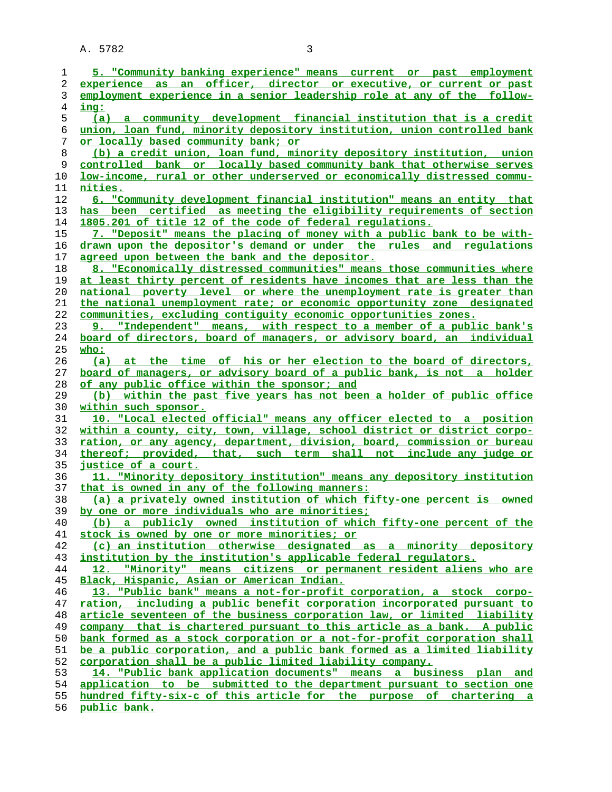| 1  | 5. "Community banking experience" means current or past employment              |
|----|---------------------------------------------------------------------------------|
| 2  | experience as an officer, director or executive, or current or past             |
| 3  | employment experience in a senior leadership role at any of the follow-         |
| 4  | ing:                                                                            |
| 5  | (a) a community development financial institution that is a credit              |
| 6  | union, loan fund, minority depository institution, union controlled bank        |
| 7  | or locally based community bank; or                                             |
| 8  | (b) a credit union, loan fund, minority depository institution, union           |
| 9  | controlled bank or locally based community bank that otherwise serves           |
| 10 | <u>low-income, rural or other underserved or economically distressed commu-</u> |
| 11 | nities.                                                                         |
| 12 | 6. "Community development financial institution" means an entity that           |
| 13 | has been certified as meeting the eligibility requirements of section           |
| 14 | 1805.201 of title 12 of the code of federal requlations.                        |
| 15 | 7. "Deposit" means the placing of money with a public bank to be with-          |
| 16 | drawn upon the depositor's demand or under the rules and requlations            |
|    | agreed upon between the bank and the depositor.                                 |
| 17 |                                                                                 |
| 18 | 8. "Economically distressed communities" means those communities where          |
| 19 | at least thirty percent of residents have incomes that are less than the        |
| 20 | national poverty level or where the unemployment rate is greater than           |
| 21 | the national unemployment rate; or economic opportunity zone designated         |
| 22 | communities, excluding contiguity economic opportunities zones.                 |
| 23 | 9. "Independent" means, with respect to a member of a public bank's             |
| 24 | board of directors, board of managers, or advisory board, an individual         |
| 25 | who:                                                                            |
| 26 | (a) at the time of his or her election to the board of directors,               |
| 27 | board of managers, or advisory board of a public bank, is not a holder          |
| 28 | of any public office within the sponsor; and                                    |
| 29 | (b) within the past five years has not been a holder of public office           |
| 30 | within such sponsor.                                                            |
| 31 | 10. "Local elected official" means any officer elected to a position            |
| 32 | within a county, city, town, village, school district or district corpo-        |
| 33 | ration, or any agency, department, division, board, commission or bureau        |
| 34 | thereof; provided, that, such term shall not include any judge or               |
| 35 | <u>justice of a court.</u>                                                      |
| 36 | 11. "Minority depository institution" means any depository institution          |
| 37 | that is owned in any of the following manners:                                  |
| 38 | (a) a privately owned institution of which fifty-one percent is owned           |
| 39 | by one or more individuals who are minorities;                                  |
| 40 | (b) a publicly owned institution of which fifty-one percent of the              |
| 41 | stock is owned by one or more minorities; or                                    |
| 42 | (c) an institution otherwise designated as a minority depository                |
| 43 | institution by the institution's applicable federal regulators.                 |
| 44 | 12. "Minority" means citizens or permanent resident aliens who are              |
| 45 | Black, Hispanic, Asian or American Indian.                                      |
| 46 | 13. "Public bank" means a not-for-profit corporation, a stock corpo-            |
| 47 | ration, including a public benefit corporation incorporated pursuant to         |
| 48 | article seventeen of the business corporation law, or limited liability         |
| 49 | company that is chartered pursuant to this article as a bank. A public          |
| 50 | bank formed as a stock corporation or a not-for-profit corporation shall        |
| 51 | be a public corporation, and a public bank formed as a limited liability        |
| 52 | corporation shall be a public limited liability company.                        |
| 53 | 14. "Public bank application documents" means a business plan and               |
| 54 | application to be submitted to the department pursuant to section one           |
| 55 | hundred fifty-six-c of this article for the purpose of chartering a             |

**public bank.**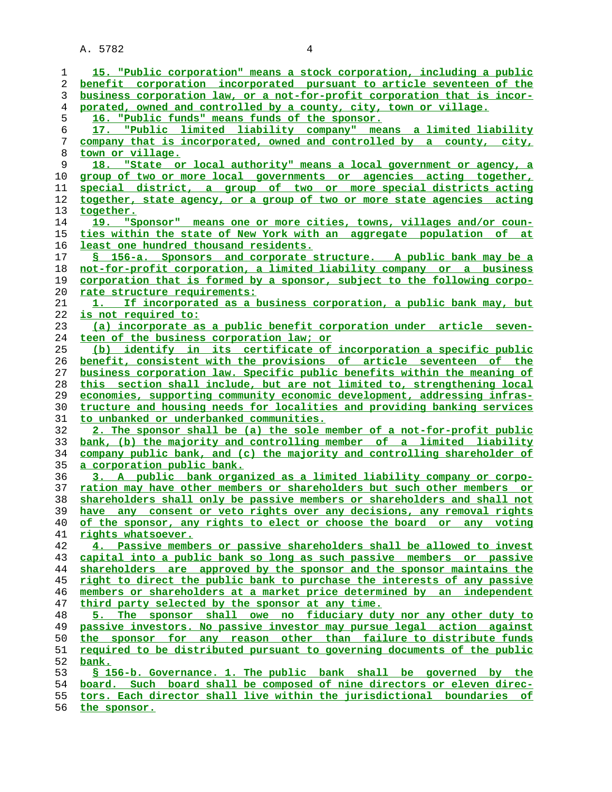| 1        | 15. "Public corporation" means a stock corporation, including a public                                                                              |
|----------|-----------------------------------------------------------------------------------------------------------------------------------------------------|
| 2        | benefit corporation incorporated pursuant to article seventeen of the                                                                               |
| 3        | business corporation law, or a not-for-profit corporation that is incor-                                                                            |
| 4        | porated, owned and controlled by a county, city, town or village.                                                                                   |
| 5        | 16. "Public funds" means funds of the sponsor.                                                                                                      |
| 6        | 17. "Public limited liability company" means a limited liability                                                                                    |
| 7        | company that is incorporated, owned and controlled by a county, city,                                                                               |
| 8        | town or village.                                                                                                                                    |
| 9        | 18. "State or local authority" means a local government or agency, a                                                                                |
| 10       | group of two or more local governments or agencies acting together,                                                                                 |
| 11       | special district, a group of two or more special districts acting                                                                                   |
| 12       | together, state agency, or a group of two or more state agencies acting                                                                             |
| 13       | together.                                                                                                                                           |
| 14       | 19. "Sponsor" means one or more cities, towns, villages and/or coun-                                                                                |
| 15       | ties within the state of New York with an aggregate population of at                                                                                |
| 16       | least one hundred thousand residents.                                                                                                               |
| 17       | S 156-a. Sponsors and corporate structure. A public bank may be a                                                                                   |
| 18       | not-for-profit corporation, a limited liability company or a business                                                                               |
| 19       | corporation that is formed by a sponsor, subject to the following corpo-                                                                            |
| 20       | rate structure requirements:                                                                                                                        |
| 21       | 1. If incorporated as a business corporation, a public bank may, but                                                                                |
| 22       | is not required to:                                                                                                                                 |
| 23       | (a) incorporate as a public benefit corporation under article seven-                                                                                |
| 24       | teen of the business corporation law; or                                                                                                            |
| 25       | (b) identify in its certificate of incorporation a specific public                                                                                  |
| 26       | benefit, consistent with the provisions of article seventeen of the                                                                                 |
| 27       | business corporation law. Specific public benefits within the meaning of                                                                            |
| 28<br>29 | this section shall include, but are not limited to, strengthening local<br>economies, supporting community economic development, addressing infras- |
| 30       | tructure and housing needs for localities and providing banking services                                                                            |
| 31       | to unbanked or underbanked communities.                                                                                                             |
| 32       | 2. The sponsor shall be (a) the sole member of a not-for-profit public                                                                              |
| 33       | bank, (b) the majority and controlling member of a limited liability                                                                                |
| 34       | company public bank, and (c) the majority and controlling shareholder of                                                                            |
| 35       | a corporation public bank.                                                                                                                          |
| 36       | 3. A public bank organized as a limited liability company or corpo-                                                                                 |
| 37       | ration may have other members or shareholders but such other members or                                                                             |
| 38       | shareholders shall only be passive members or shareholders and shall not                                                                            |
| 39       | any consent or veto rights over any decisions, any removal rights<br>have                                                                           |
| 40       | of the sponsor, any rights to elect or choose the board or any voting                                                                               |
| 41       | rights whatsoever.                                                                                                                                  |
| 42       | 4. Passive members or passive shareholders shall be allowed to invest                                                                               |
| 43       | capital into a public bank so long as such passive members or passive                                                                               |
| 44       | shareholders are approved by the sponsor and the sponsor maintains the                                                                              |
| 45       | right to direct the public bank to purchase the interests of any passive                                                                            |
| 46       | members or shareholders at a market price determined by an independent                                                                              |
| 47       | third party selected by the sponsor at any time.                                                                                                    |
| 48       | 5. The sponsor shall owe no fiduciary duty nor any other duty to                                                                                    |
| 49       | passive investors. No passive investor may pursue legal action against                                                                              |
| 50       | the sponsor for any reason other than failure to distribute funds<br>required to be distributed pursuant to governing documents of the public       |
| 51<br>52 |                                                                                                                                                     |
| 53       | <u>bank.</u><br>S 156-b. Governance. 1. The public bank shall be governed by the                                                                    |
| 54       | board. Such board shall be composed of nine directors or eleven direc-                                                                              |
| 55       | tors. Each director shall live within the jurisdictional boundaries of                                                                              |
| 56       | the sponsor.                                                                                                                                        |
|          |                                                                                                                                                     |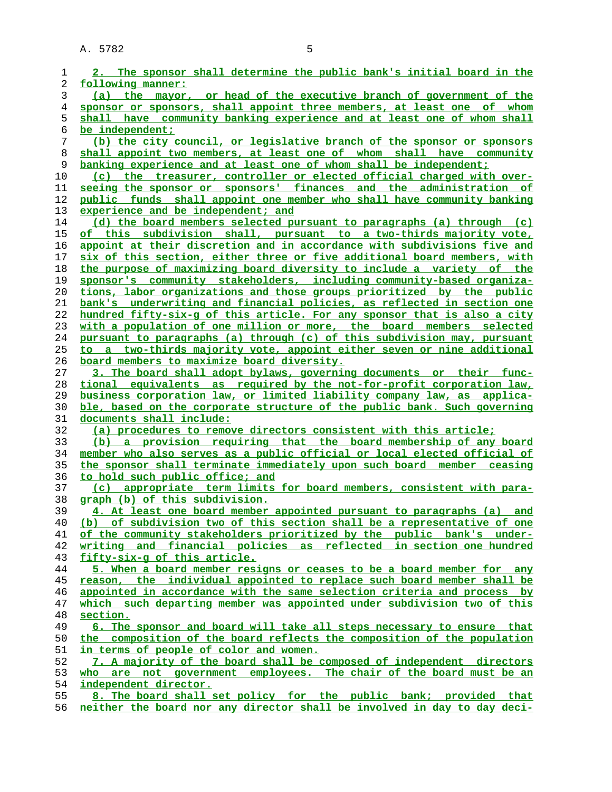| 1              | 2. The sponsor shall determine the public bank's initial board in the                                                                            |
|----------------|--------------------------------------------------------------------------------------------------------------------------------------------------|
| 2              | following manner:                                                                                                                                |
| 3              | (a) the mayor, or head of the executive branch of government of the                                                                              |
| $\overline{4}$ | sponsor or sponsors, shall appoint three members, at least one of whom                                                                           |
| 5              | shall have community banking experience and at least one of whom shall                                                                           |
| 6              | be independent;                                                                                                                                  |
| 7              | (b) the city council, or legislative branch of the sponsor or sponsors                                                                           |
| 8              | shall appoint two members, at least one of whom shall have community                                                                             |
| 9              | banking experience and at least one of whom shall be independent;                                                                                |
| 10             | (c) the treasurer, controller or elected official charged with over-                                                                             |
| 11             | seeing the sponsor or sponsors' finances and the administration of                                                                               |
| 12             | public funds shall appoint one member who shall have community banking                                                                           |
| 13             | experience and be independent; and                                                                                                               |
| 14             | (d) the board members selected pursuant to paragraphs (a) through (c)                                                                            |
| 15             | of this subdivision shall, pursuant to a two-thirds majority vote,                                                                               |
| 16             | appoint at their discretion and in accordance with subdivisions five and                                                                         |
| 17             | six of this section, either three or five additional board members, with                                                                         |
| 18             | the purpose of maximizing board diversity to include a variety of the                                                                            |
| 19             | sponsor's community stakeholders, including community-based organiza-                                                                            |
| 20             | tions, labor organizations and those groups prioritized by the public                                                                            |
| 21             | bank's underwriting and financial policies, as reflected in section one                                                                          |
| 22             | hundred fifty-six-q of this article. For any sponsor that is also a city                                                                         |
| 23             | with a population of one million or more, the board members selected                                                                             |
| 24             | pursuant to paragraphs (a) through (c) of this subdivision may, pursuant                                                                         |
| 25             | to a two-thirds majority vote, appoint either seven or nine additional                                                                           |
| 26             | board members to maximize board diversity.                                                                                                       |
| 27             | 3. The board shall adopt bylaws, governing documents or their func-                                                                              |
| 28             | tional equivalents as required by the not-for-profit corporation law,                                                                            |
| 29             | business corporation law, or limited liability company law, as applica-                                                                          |
| 30             | ble, based on the corporate structure of the public bank. Such governing                                                                         |
| 31             | documents shall include:                                                                                                                         |
| 32             | (a) procedures to remove directors consistent with this article;                                                                                 |
| 33             | (b) a provision requiring that the board membership of any board                                                                                 |
| 34             | member who also serves as a public official or local elected official of                                                                         |
| 35             | the sponsor shall terminate immediately upon such board member ceasing                                                                           |
| 36             | to hold such public office; and                                                                                                                  |
| 37             | (c) appropriate term limits for board members, consistent with para-                                                                             |
| 38             | graph (b) of this subdivision.                                                                                                                   |
| 39             | 4. At least one board member appointed pursuant to paragraphs (a) and<br>(b) of subdivision two of this section shall be a representative of one |
| 40             | of the community stakeholders prioritized by the public bank's under-                                                                            |
| 41<br>42       | writing and financial policies as reflected in section one hundred                                                                               |
| 43             | fifty-six-g of this article.                                                                                                                     |
| 44             | 5. When a board member resigns or ceases to be a board member for any                                                                            |
| 45             | reason, the individual appointed to replace such board member shall be                                                                           |
| 46             | appointed in accordance with the same selection criteria and process by                                                                          |
| 47             | which such departing member was appointed under subdivision two of this                                                                          |
| 48             | section.                                                                                                                                         |
| 49             | 6. The sponsor and board will take all steps necessary to ensure that                                                                            |
| 50             | the composition of the board reflects the composition of the population                                                                          |
| 51             | in terms of people of color and women.                                                                                                           |
| 52             | 7. A majority of the board shall be composed of independent directors                                                                            |
| 53             | who are not government employees. The chair of the board must be an                                                                              |
| 54             | <u>independent director.</u>                                                                                                                     |
| 55             | 8. The board shall set policy for the public bank; provided that                                                                                 |
| 56             | neither the board nor any director shall be involved in day to day deci-                                                                         |
|                |                                                                                                                                                  |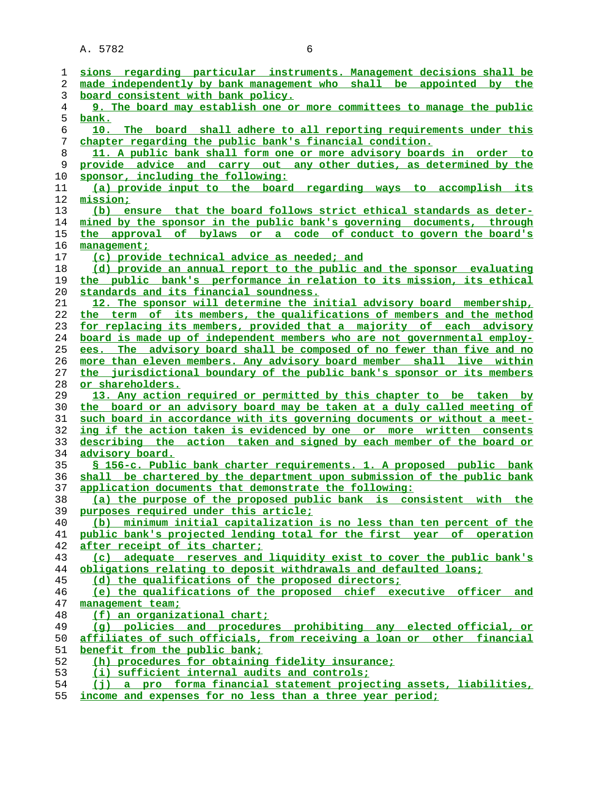| ı  | sions regarding particular instruments. Management decisions shall be    |
|----|--------------------------------------------------------------------------|
| 2  | made independently by bank management who shall be appointed by the      |
| 3  | board consistent with bank policy.                                       |
| 4  | 9. The board may establish one or more committees to manage the public   |
| 5  | bank.                                                                    |
| 6  | 10. The board shall adhere to all reporting requirements under this      |
| 7  | chapter regarding the public bank's financial condition.                 |
| 8  | 11. A public bank shall form one or more advisory boards in order to     |
| 9  | provide advice and carry out any other duties, as determined by the      |
| 10 | sponsor, including the following:                                        |
| 11 | (a) provide input to the board regarding ways to accomplish its          |
| 12 | mission;                                                                 |
| 13 | (b) ensure that the board follows strict ethical standards as deter-     |
| 14 | mined by the sponsor in the public bank's governing documents, through   |
| 15 | the approval of bylaws or a code of conduct to govern the board's        |
| 16 | management;                                                              |
| 17 | (c) provide technical advice as needed; and                              |
| 18 | (d) provide an annual report to the public and the sponsor evaluating    |
| 19 | the public bank's performance in relation to its mission, its ethical    |
| 20 | standards and its financial soundness.                                   |
| 21 | 12. The sponsor will determine the initial advisory board membership,    |
| 22 | the term of its members, the qualifications of members and the method    |
| 23 | for replacing its members, provided that a majority of each advisory     |
| 24 | board is made up of independent members who are not governmental employ- |
| 25 | ees. The advisory board shall be composed of no fewer than five and no   |
| 26 | more than eleven members. Any advisory board member shall live within    |
| 27 | the jurisdictional boundary of the public bank's sponsor or its members  |
| 28 | or shareholders.                                                         |
| 29 | 13. Any action required or permitted by this chapter to be taken by      |
| 30 | the board or an advisory board may be taken at a duly called meeting of  |
| 31 | such board in accordance with its governing documents or without a meet- |
| 32 | ing if the action taken is evidenced by one or more written consents     |
| 33 | describing the action taken and signed by each member of the board or    |
| 34 | <u>advisory board.</u>                                                   |
| 35 | § 156-c. Public bank charter requirements. 1. A proposed public bank     |
| 36 | shall be chartered by the department upon submission of the public bank  |
| 37 | application documents that demonstrate the following:                    |
| 38 | (a) the purpose of the proposed public bank is consistent with the       |
| 39 | purposes required under this article;                                    |
| 40 | (b) minimum initial capitalization is no less than ten percent of the    |
| 41 | public bank's projected lending total for the first year of operation    |
| 42 | after receipt of its charter;                                            |
| 43 | (c) adequate reserves and liquidity exist to cover the public bank's     |
| 44 | obligations relating to deposit withdrawals and defaulted loans;         |
| 45 | (d) the qualifications of the proposed directors:                        |
| 46 | (e) the qualifications of the proposed chief executive officer and       |
| 47 | management team;                                                         |
| 48 | (f) an organizational chart;                                             |
| 49 | (g) policies and procedures prohibiting any elected official, or         |
| 50 | affiliates of such officials, from receiving a loan or other financial   |
| 51 | benefit from the public bank;                                            |
| 52 | (h) procedures for obtaining fidelity insurance;                         |
| 53 | (i) sufficient internal audits and controls;                             |
| 54 | (i) a pro forma financial statement projecting assets, liabilities,      |
|    |                                                                          |

**income and expenses for no less than a three year period;**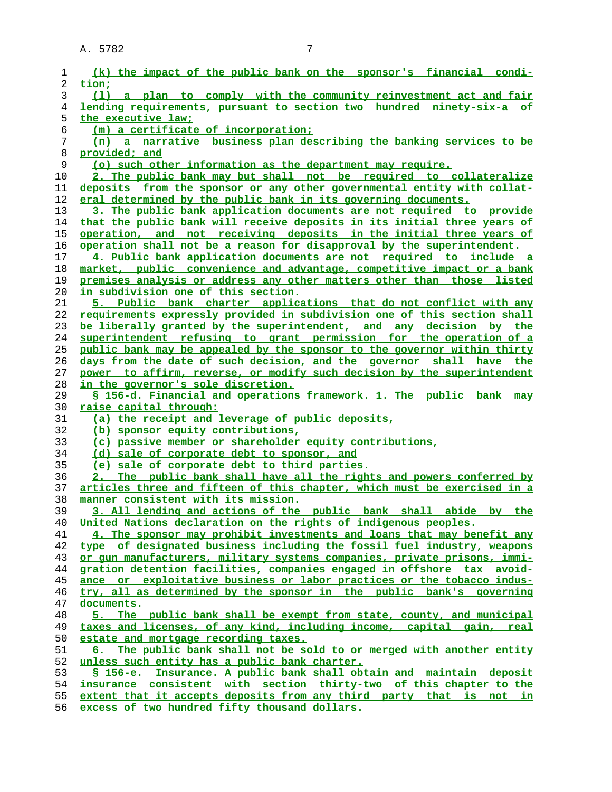| 1        | (k) the impact of the public bank on the sponsor's financial condi-                                                                        |
|----------|--------------------------------------------------------------------------------------------------------------------------------------------|
| 2        | tion;                                                                                                                                      |
| 3        | (1) a plan to comply with the community reinvestment act and fair                                                                          |
| 4        | lending requirements, pursuant to section two hundred ninety-six-a of                                                                      |
| 5        | the executive law;                                                                                                                         |
| 6        | (m) a certificate of incorporation;                                                                                                        |
| 7        | (n) a narrative business plan describing the banking services to be                                                                        |
| 8        | provided; and                                                                                                                              |
| 9        | (o) such other information as the department may require.                                                                                  |
| 10       | 2. The public bank may but shall not be required to collateralize                                                                          |
| 11       | deposits from the sponsor or any other governmental entity with collat-                                                                    |
| 12       | eral determined by the public bank in its governing documents.                                                                             |
| 13       | 3. The public bank application documents are not required to provide                                                                       |
| 14       | that the public bank will receive deposits in its initial three years of                                                                   |
| 15       | operation, and not receiving deposits in the initial three years of                                                                        |
| 16       | operation shall not be a reason for disapproval by the superintendent.                                                                     |
| 17       | 4. Public bank application documents are not required to include a                                                                         |
| 18       | market, public convenience and advantage, competitive impact or a bank                                                                     |
| 19       | premises analysis or address any other matters other than those listed                                                                     |
| 20       | in subdivision one of this section.                                                                                                        |
| 21       | 5. Public bank charter applications that do not conflict with any                                                                          |
| 22       | requirements expressly provided in subdivision one of this section shall                                                                   |
| 23       | be liberally granted by the superintendent, and any decision by the                                                                        |
| 24       | superintendent refusing to grant permission for the operation of a                                                                         |
| 25       | public bank may be appealed by the sponsor to the governor within thirty                                                                   |
| 26       | days from the date of such decision, and the governor shall have the                                                                       |
| 27       | power to affirm, reverse, or modify such decision by the superintendent                                                                    |
| 28       | in the governor's sole discretion.                                                                                                         |
| 29       | § 156-d. Financial and operations framework. 1. The public bank may                                                                        |
| 30       | <u>raise capital through:</u>                                                                                                              |
| 31       | (a) the receipt and leverage of public deposits,                                                                                           |
| 32       | (b) sponsor equity contributions,                                                                                                          |
| 33       | (c) passive member or shareholder equity contributions,                                                                                    |
| 34       | (d) sale of corporate debt to sponsor, and                                                                                                 |
| 35       | (e) sale of corporate debt to third parties.                                                                                               |
| 36       | 2. The public bank shall have all the rights and powers conferred by                                                                       |
| 37       | articles three and fifteen of this chapter, which must be exercised in a                                                                   |
| 38       | manner consistent with its mission.                                                                                                        |
| 39       | 3. All lending and actions of the public bank shall abide by the                                                                           |
| 40       | United Nations declaration on the rights of indigenous peoples.                                                                            |
| 41       | 4. The sponsor may prohibit investments and loans that may benefit any                                                                     |
| 42       | type of designated business including the fossil fuel industry, weapons                                                                    |
| 43       | or gun manufacturers, military systems companies, private prisons, immi-                                                                   |
| 44       | gration detention facilities, companies engaged in offshore tax avoid-                                                                     |
| 45       | ance or exploitative business or labor practices or the tobacco indus-                                                                     |
| 46       | try, all as determined by the sponsor in the public bank's governing                                                                       |
| 47       | documents.                                                                                                                                 |
| 48       | 5. The public bank shall be exempt from state, county, and municipal                                                                       |
| 49       | taxes and licenses, of any kind, including income, capital gain, real                                                                      |
| 50       | estate and mortgage recording taxes.                                                                                                       |
| 51       | 6. The public bank shall not be sold to or merged with another entity                                                                      |
| 52       | unless such entity has a public bank charter.                                                                                              |
| 53       | § 156-e. Insurance. A public bank shall obtain and maintain deposit                                                                        |
|          |                                                                                                                                            |
| 54<br>55 | insurance consistent with section thirty-two of this chapter to the<br>extent that it accepts deposits from any third party that is not in |

**excess of two hundred fifty thousand dollars.**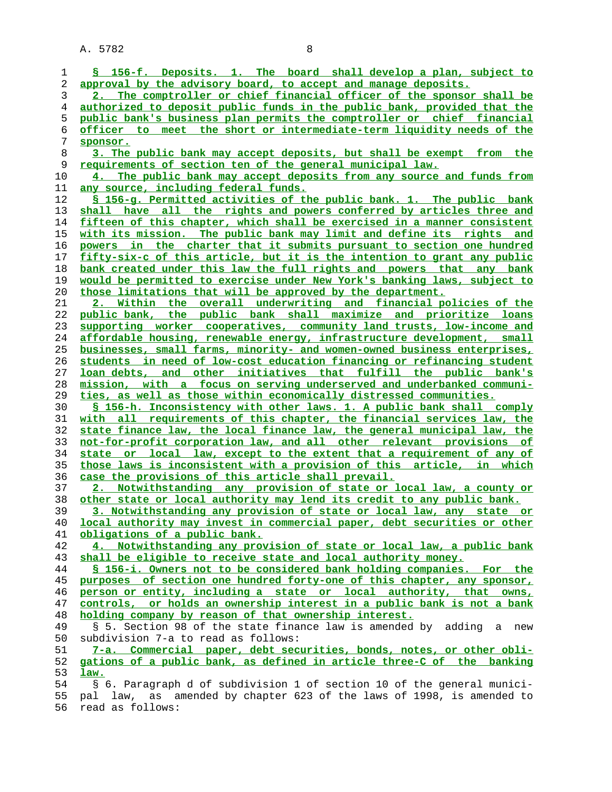| 1  | § 156-f. Deposits. 1. The board shall develop a plan, subject to         |
|----|--------------------------------------------------------------------------|
| 2  | approval by the advisory board, to accept and manage deposits.           |
| 3  | 2. The comptroller or chief financial officer of the sponsor shall be    |
| 4  | authorized to deposit public funds in the public bank, provided that the |
| 5  | public bank's business plan permits the comptroller or chief financial   |
| 6  | officer to meet the short or intermediate-term liquidity needs of the    |
| 7  | sponsor.                                                                 |
| 8  | 3. The public bank may accept deposits, but shall be exempt from the     |
| 9  | <u>requirements of section ten of the general municipal law.</u>         |
| 10 | 4. The public bank may accept deposits from any source and funds from    |
| 11 | <u>any source, including federal funds.</u>                              |
| 12 | § 156-g. Permitted activities of the public bank. 1. The public bank     |
| 13 | shall have all the rights and powers conferred by articles three and     |
| 14 | fifteen of this chapter, which shall be exercised in a manner consistent |
| 15 | with its mission. The public bank may limit and define its rights and    |
| 16 | powers in the charter that it submits pursuant to section one hundred    |
| 17 | fifty-six-c of this article, but it is the intention to grant any public |
| 18 | bank created under this law the full rights and powers that any bank     |
| 19 | would be permitted to exercise under New York's banking laws, subject to |
| 20 | those limitations that will be approved by the department.               |
| 21 | 2. Within the overall underwriting and financial policies of the         |
| 22 | public bank, the public bank shall maximize and prioritize loans         |
| 23 | supporting worker cooperatives, community land trusts, low-income and    |
| 24 | affordable housing, renewable energy, infrastructure development, small  |
| 25 | businesses, small farms, minority- and women-owned business enterprises, |
| 26 | students in need of low-cost education financing or refinancing student  |
| 27 | loan debts, and other initiatives that fulfill the public bank's         |
| 28 | mission, with a focus on serving underserved and underbanked communi-    |
| 29 | ties, as well as those within economically distressed communities.       |
| 30 | § 156-h. Inconsistency with other laws. 1. A public bank shall comply    |
| 31 | with all requirements of this chapter, the financial services law, the   |
| 32 | state finance law, the local finance law, the general municipal law, the |
| 33 | not-for-profit corporation law, and all other relevant provisions of     |
| 34 | state or local law, except to the extent that a requirement of any of    |
| 35 | those laws is inconsistent with a provision of this article, in which    |
| 36 | case the provisions of this article shall prevail.                       |
| 37 | 2. Notwithstanding any provision of state or local law, a county or      |
| 38 | other state or local authority may lend its credit to any public bank.   |
| 39 | 3. Notwithstanding any provision of state or local law, any state or     |
| 40 | local authority may invest in commercial paper, debt securities or other |
| 41 | obligations of a public bank.                                            |
| 42 | 4. Notwithstanding any provision of state or local law, a public bank    |
| 43 | shall be eligible to receive state and local authority money.            |
| 44 | § 156-i. Owners not to be considered bank holding companies. For the     |
| 45 | purposes of section one hundred forty-one of this chapter, any sponsor,  |
| 46 | person or entity, including a state or local authority, that owns,       |
| 47 | controls, or holds an ownership interest in a public bank is not a bank  |
| 48 | holding company by reason of that ownership interest.                    |
| 49 | § 5. Section 98 of the state finance law is amended by adding a new      |
| 50 | subdivision 7-a to read as follows:                                      |
| 51 | 7-a. Commercial paper, debt securities, bonds, notes, or other obli-     |
| 52 | gations of a public bank, as defined in article three-C of the banking   |
| 53 | law.                                                                     |
| 54 | § 6. Paragraph d of subdivision 1 of section 10 of the general munici-   |
| 55 | pal law, as amended by chapter 623 of the laws of 1998, is amended to    |
| 56 | read as follows:                                                         |